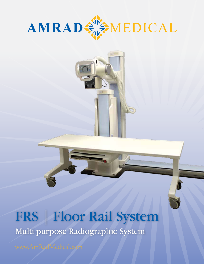



# FRS | Floor Rail System Multi-purpose Radiographic System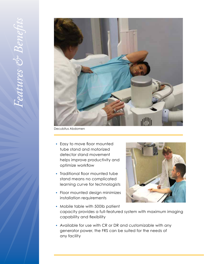

Decubitus Abdomen

- *•*  Easy to move floor mounted tube stand and motorized detector stand movement helps improve productivity and optimize workflow
- Traditional floor mounted tube stand means no complicated learning curve for technologists
- *•*  Floor mounted design minimizes installation requirements



- Mobile table with 500lb patient capacity provides a full-featured system with maximum imaging capability and flexibility
- *•*  Available for use with CR or DR and customizable with any generator power, the FRS can be suited for the needs of any facility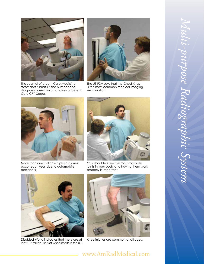

The Journal of Urgent Care Medicine states that Sinusitis is the number one diagnosis based on an analysis of Urgent Care CPT Codes.



The US FDA says that the Chest X-ray is the most common medical imaging examination.



More than one million whiplash injuries occur each year due to automobile accidents.



Your shoulders are the most movable joints in your body and having them work properly is important.



Disabled-World indicates that there are at least 1.7 million users of wheelchairs in the U.S.



Knee injuries are common at all ages.

### www.AmRadMedical.com